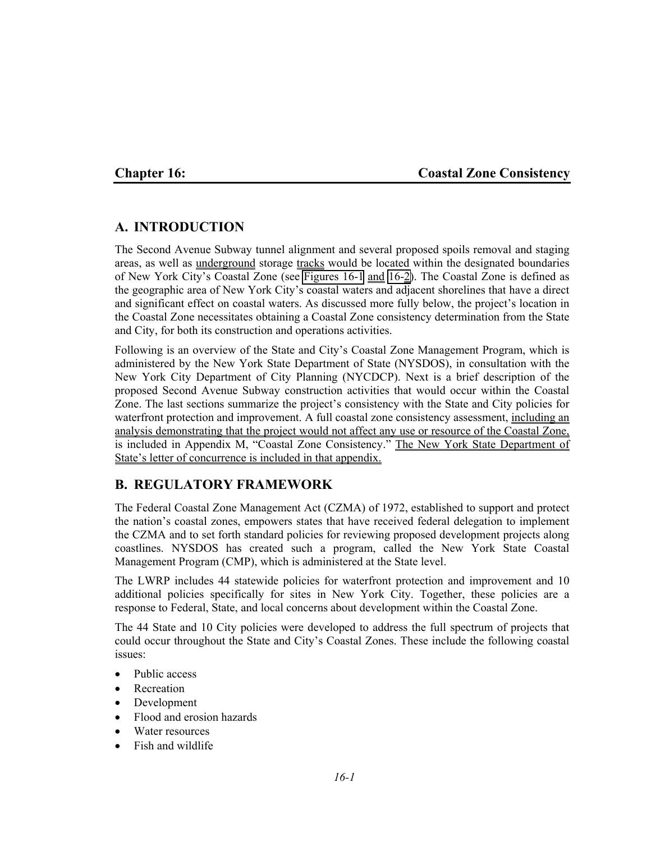## **Chapter 16: Coastal Zone Consistency**

# **A. INTRODUCTION**

The Second Avenue Subway tunnel alignment and several proposed spoils removal and staging areas, as well as underground storage tracks would be located within the designated boundaries of New York City's Coastal Zone (see Figures 16-1 and 16-2). The Coastal Zone is defined as the geographic area of New York City's coastal waters and adjacent shorelines that have a direct and significant effect on coastal waters. As discussed more fully below, the project's location in the Coastal Zone necessitates obtaining a Coastal Zone consistency determination from the State and City, for both its construction and operations activities.

Following is an overview of the State and City's Coastal Zone Management Program, which is administered by the New York State Department of State (NYSDOS), in consultation with the New York City Department of City Planning (NYCDCP). Next is a brief description of the proposed Second Avenue Subway construction activities that would occur within the Coastal Zone. The last sections summarize the project's consistency with the State and City policies for waterfront protection and improvement. A full coastal zone consistency assessment, including an analysis demonstrating that the project would not affect any use or resource of the Coastal Zone, is included in Appendix M, "Coastal Zone Consistency." The New York State Department of State's letter of concurrence is included in that appendix.

# **B. REGULATORY FRAMEWORK**

The Federal Coastal Zone Management Act (CZMA) of 1972, established to support and protect the nation's coastal zones, empowers states that have received federal delegation to implement the CZMA and to set forth standard policies for reviewing proposed development projects along coastlines. NYSDOS has created such a program, called the New York State Coastal Management Program (CMP), which is administered at the State level.

The LWRP includes 44 statewide policies for waterfront protection and improvement and 10 additional policies specifically for sites in New York City. Together, these policies are a response to Federal, State, and local concerns about development within the Coastal Zone.

The 44 State and 10 City policies were developed to address the full spectrum of projects that could occur throughout the State and City's Coastal Zones. These include the following coastal issues:

- Public access
- Recreation
- Development
- Flood and erosion hazards
- Water resources
- Fish and wildlife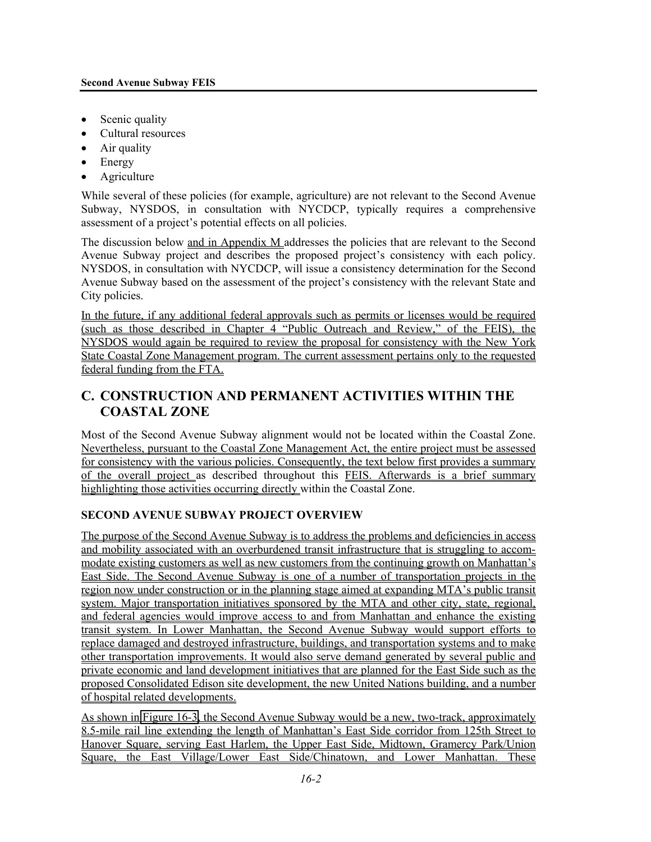- Scenic quality
- Cultural resources
- Air quality
- Energy
- Agriculture

While several of these policies (for example, agriculture) are not relevant to the Second Avenue Subway, NYSDOS, in consultation with NYCDCP, typically requires a comprehensive assessment of a project's potential effects on all policies.

The discussion below and in Appendix M addresses the policies that are relevant to the Second Avenue Subway project and describes the proposed project's consistency with each policy. NYSDOS, in consultation with NYCDCP, will issue a consistency determination for the Second Avenue Subway based on the assessment of the project's consistency with the relevant State and City policies.

In the future, if any additional federal approvals such as permits or licenses would be required (such as those described in Chapter 4 "Public Outreach and Review," of the FEIS), the NYSDOS would again be required to review the proposal for consistency with the New York State Coastal Zone Management program. The current assessment pertains only to the requested federal funding from the FTA.

# **C. CONSTRUCTION AND PERMANENT ACTIVITIES WITHIN THE COASTAL ZONE**

Most of the Second Avenue Subway alignment would not be located within the Coastal Zone. Nevertheless, pursuant to the Coastal Zone Management Act, the entire project must be assessed for consistency with the various policies. Consequently, the text below first provides a summary of the overall project as described throughout this FEIS. Afterwards is a brief summary highlighting those activities occurring directly within the Coastal Zone.

# **SECOND AVENUE SUBWAY PROJECT OVERVIEW**

The purpose of the Second Avenue Subway is to address the problems and deficiencies in access and mobility associated with an overburdened transit infrastructure that is struggling to accommodate existing customers as well as new customers from the continuing growth on Manhattan's East Side. The Second Avenue Subway is one of a number of transportation projects in the region now under construction or in the planning stage aimed at expanding MTA's public transit system. Major transportation initiatives sponsored by the MTA and other city, state, regional, and federal agencies would improve access to and from Manhattan and enhance the existing transit system. In Lower Manhattan, the Second Avenue Subway would support efforts to replace damaged and destroyed infrastructure, buildings, and transportation systems and to make other transportation improvements. It would also serve demand generated by several public and private economic and land development initiatives that are planned for the East Side such as the proposed Consolidated Edison site development, the new United Nations building, and a number of hospital related developments.

As shown in Figure 16-3, the Second Avenue Subway would be a new, two-track, approximately 8.5-mile rail line extending the length of Manhattan's East Side corridor from 125th Street to Hanover Square, serving East Harlem, the Upper East Side, Midtown, Gramercy Park/Union Square, the East Village/Lower East Side/Chinatown, and Lower Manhattan. These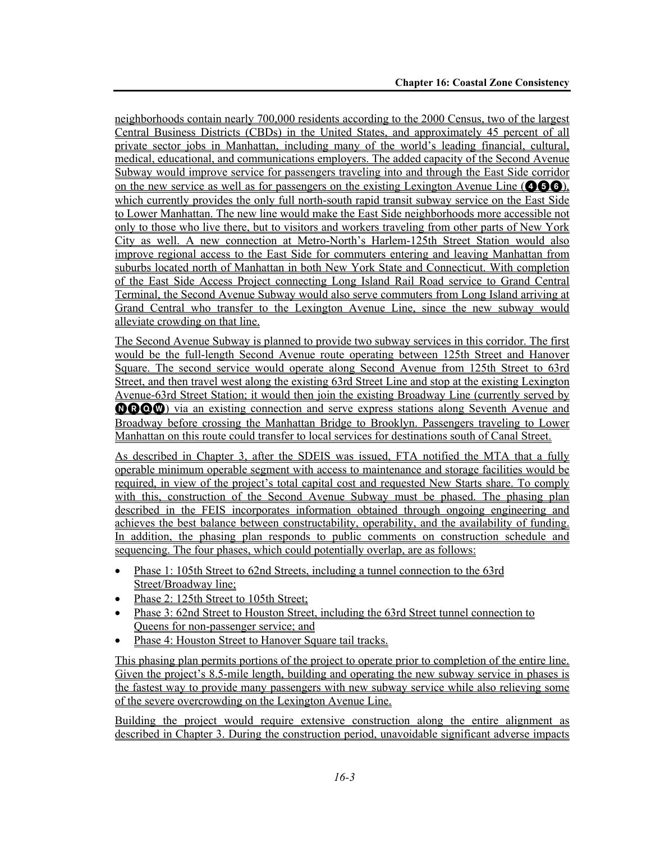neighborhoods contain nearly 700,000 residents according to the 2000 Census, two of the largest Central Business Districts (CBDs) in the United States, and approximately 45 percent of all private sector jobs in Manhattan, including many of the world's leading financial, cultural, medical, educational, and communications employers. The added capacity of the Second Avenue Subway would improve service for passengers traveling into and through the East Side corridor on the new service as well as for passengers on the existing Lexington Avenue Line ( $\bullet\bullet\bullet$ ), which currently provides the only full north-south rapid transit subway service on the East Side to Lower Manhattan. The new line would make the East Side neighborhoods more accessible not only to those who live there, but to visitors and workers traveling from other parts of New York City as well. A new connection at Metro-North's Harlem-125th Street Station would also improve regional access to the East Side for commuters entering and leaving Manhattan from suburbs located north of Manhattan in both New York State and Connecticut. With completion of the East Side Access Project connecting Long Island Rail Road service to Grand Central Terminal, the Second Avenue Subway would also serve commuters from Long Island arriving at Grand Central who transfer to the Lexington Avenue Line, since the new subway would alleviate crowding on that line.

The Second Avenue Subway is planned to provide two subway services in this corridor. The first would be the full-length Second Avenue route operating between 125th Street and Hanover Square. The second service would operate along Second Avenue from 125th Street to 63rd Street, and then travel west along the existing 63rd Street Line and stop at the existing Lexington Avenue-63rd Street Station; it would then join the existing Broadway Line (currently served by **OROW**) via an existing connection and serve express stations along Seventh Avenue and Broadway before crossing the Manhattan Bridge to Brooklyn. Passengers traveling to Lower Manhattan on this route could transfer to local services for destinations south of Canal Street.

As described in Chapter 3, after the SDEIS was issued, FTA notified the MTA that a fully operable minimum operable segment with access to maintenance and storage facilities would be required, in view of the project's total capital cost and requested New Starts share. To comply with this, construction of the Second Avenue Subway must be phased. The phasing plan described in the FEIS incorporates information obtained through ongoing engineering and achieves the best balance between constructability, operability, and the availability of funding. In addition, the phasing plan responds to public comments on construction schedule and sequencing. The four phases, which could potentially overlap, are as follows:

- Phase 1: 105th Street to 62nd Streets, including a tunnel connection to the 63rd Street/Broadway line;
- Phase 2: 125th Street to 105th Street;
- Phase 3: 62nd Street to Houston Street, including the 63rd Street tunnel connection to Queens for non-passenger service; and
- Phase 4: Houston Street to Hanover Square tail tracks.

This phasing plan permits portions of the project to operate prior to completion of the entire line. Given the project's 8.5-mile length, building and operating the new subway service in phases is the fastest way to provide many passengers with new subway service while also relieving some of the severe overcrowding on the Lexington Avenue Line.

Building the project would require extensive construction along the entire alignment as described in Chapter 3. During the construction period, unavoidable significant adverse impacts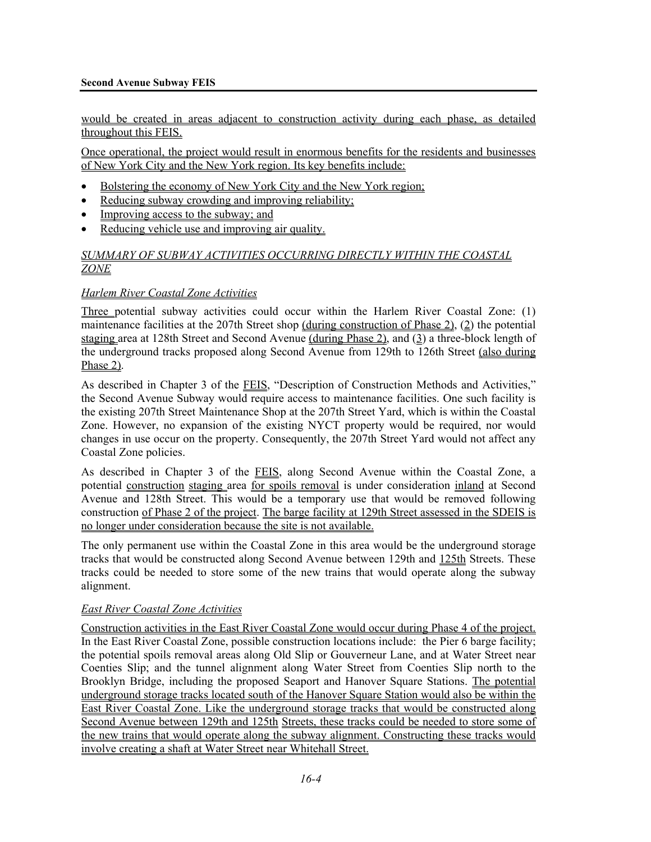#### **Second Avenue Subway FEIS**

would be created in areas adjacent to construction activity during each phase, as detailed throughout this FEIS.

Once operational, the project would result in enormous benefits for the residents and businesses of New York City and the New York region. Its key benefits include:

- Bolstering the economy of New York City and the New York region;
- Reducing subway crowding and improving reliability;
- Improving access to the subway; and
- Reducing vehicle use and improving air quality.

### *SUMMARY OF SUBWAY ACTIVITIES OCCURRING DIRECTLY WITHIN THE COASTAL ZONE*

#### *Harlem River Coastal Zone Activities*

Three potential subway activities could occur within the Harlem River Coastal Zone: (1) maintenance facilities at the 207th Street shop (during construction of Phase 2), (2) the potential staging area at 128th Street and Second Avenue (during Phase 2), and (3) a three-block length of the underground tracks proposed along Second Avenue from 129th to 126th Street (also during Phase 2).

As described in Chapter 3 of the **FEIS**, "Description of Construction Methods and Activities," the Second Avenue Subway would require access to maintenance facilities. One such facility is the existing 207th Street Maintenance Shop at the 207th Street Yard, which is within the Coastal Zone. However, no expansion of the existing NYCT property would be required, nor would changes in use occur on the property. Consequently, the 207th Street Yard would not affect any Coastal Zone policies.

As described in Chapter 3 of the FEIS, along Second Avenue within the Coastal Zone, a potential construction staging area for spoils removal is under consideration inland at Second Avenue and 128th Street. This would be a temporary use that would be removed following construction of Phase 2 of the project. The barge facility at 129th Street assessed in the SDEIS is no longer under consideration because the site is not available.

The only permanent use within the Coastal Zone in this area would be the underground storage tracks that would be constructed along Second Avenue between 129th and 125th Streets. These tracks could be needed to store some of the new trains that would operate along the subway alignment.

#### *East River Coastal Zone Activities*

Construction activities in the East River Coastal Zone would occur during Phase 4 of the project. In the East River Coastal Zone, possible construction locations include: the Pier 6 barge facility; the potential spoils removal areas along Old Slip or Gouverneur Lane, and at Water Street near Coenties Slip; and the tunnel alignment along Water Street from Coenties Slip north to the Brooklyn Bridge, including the proposed Seaport and Hanover Square Stations. The potential underground storage tracks located south of the Hanover Square Station would also be within the East River Coastal Zone. Like the underground storage tracks that would be constructed along Second Avenue between 129th and 125th Streets, these tracks could be needed to store some of the new trains that would operate along the subway alignment. Constructing these tracks would involve creating a shaft at Water Street near Whitehall Street.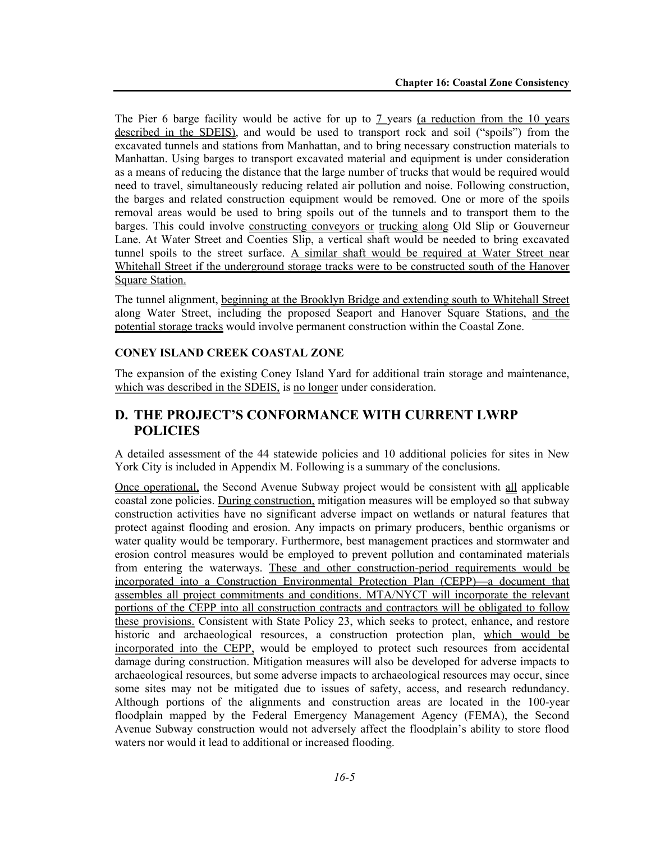The Pier 6 barge facility would be active for up to  $7$  years (a reduction from the 10 years described in the SDEIS), and would be used to transport rock and soil ("spoils") from the excavated tunnels and stations from Manhattan, and to bring necessary construction materials to Manhattan. Using barges to transport excavated material and equipment is under consideration as a means of reducing the distance that the large number of trucks that would be required would need to travel, simultaneously reducing related air pollution and noise. Following construction, the barges and related construction equipment would be removed. One or more of the spoils removal areas would be used to bring spoils out of the tunnels and to transport them to the barges. This could involve constructing conveyors or trucking along Old Slip or Gouverneur Lane. At Water Street and Coenties Slip, a vertical shaft would be needed to bring excavated tunnel spoils to the street surface. A similar shaft would be required at Water Street near Whitehall Street if the underground storage tracks were to be constructed south of the Hanover Square Station.

The tunnel alignment, beginning at the Brooklyn Bridge and extending south to Whitehall Street along Water Street, including the proposed Seaport and Hanover Square Stations, and the potential storage tracks would involve permanent construction within the Coastal Zone.

#### **CONEY ISLAND CREEK COASTAL ZONE**

The expansion of the existing Coney Island Yard for additional train storage and maintenance, which was described in the SDEIS, is no longer under consideration.

# **D. THE PROJECT'S CONFORMANCE WITH CURRENT LWRP POLICIES**

A detailed assessment of the 44 statewide policies and 10 additional policies for sites in New York City is included in Appendix M. Following is a summary of the conclusions.

Once operational, the Second Avenue Subway project would be consistent with all applicable coastal zone policies. During construction, mitigation measures will be employed so that subway construction activities have no significant adverse impact on wetlands or natural features that protect against flooding and erosion. Any impacts on primary producers, benthic organisms or water quality would be temporary. Furthermore, best management practices and stormwater and erosion control measures would be employed to prevent pollution and contaminated materials from entering the waterways. These and other construction-period requirements would be incorporated into a Construction Environmental Protection Plan (CEPP)—a document that assembles all project commitments and conditions. MTA/NYCT will incorporate the relevant portions of the CEPP into all construction contracts and contractors will be obligated to follow these provisions. Consistent with State Policy 23, which seeks to protect, enhance, and restore historic and archaeological resources, a construction protection plan, which would be incorporated into the CEPP, would be employed to protect such resources from accidental damage during construction. Mitigation measures will also be developed for adverse impacts to archaeological resources, but some adverse impacts to archaeological resources may occur, since some sites may not be mitigated due to issues of safety, access, and research redundancy. Although portions of the alignments and construction areas are located in the 100-year floodplain mapped by the Federal Emergency Management Agency (FEMA), the Second Avenue Subway construction would not adversely affect the floodplain's ability to store flood waters nor would it lead to additional or increased flooding.